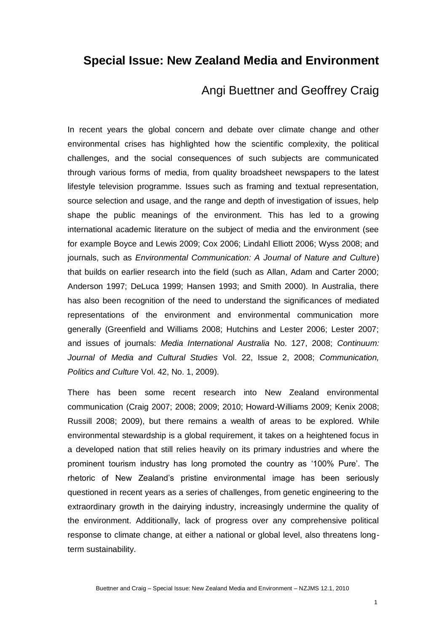## **Special Issue: New Zealand Media and Environment**

## Angi Buettner and Geoffrey Craig

In recent years the global concern and debate over climate change and other environmental crises has highlighted how the scientific complexity, the political challenges, and the social consequences of such subjects are communicated through various forms of media, from quality broadsheet newspapers to the latest lifestyle television programme. Issues such as framing and textual representation, source selection and usage, and the range and depth of investigation of issues, help shape the public meanings of the environment. This has led to a growing international academic literature on the subject of media and the environment (see for example Boyce and Lewis 2009; Cox 2006; Lindahl Elliott 2006; Wyss 2008; and journals, such as *Environmental Communication: A Journal of Nature and Culture*) that builds on earlier research into the field (such as Allan, Adam and Carter 2000; Anderson 1997; DeLuca 1999; Hansen 1993; and Smith 2000). In Australia, there has also been recognition of the need to understand the significances of mediated representations of the environment and environmental communication more generally (Greenfield and Williams 2008; Hutchins and Lester 2006; Lester 2007; and issues of journals: *Media International Australia* No. 127, 2008; *Continuum: Journal of Media and Cultural Studies* Vol. 22, Issue 2, 2008; *Communication, Politics and Culture* Vol. 42, No. 1, 2009).

There has been some recent research into New Zealand environmental communication (Craig 2007; 2008; 2009; 2010; Howard-Williams 2009; Kenix 2008; Russill 2008; 2009), but there remains a wealth of areas to be explored. While environmental stewardship is a global requirement, it takes on a heightened focus in a developed nation that still relies heavily on its primary industries and where the prominent tourism industry has long promoted the country as '100% Pure'. The rhetoric of New Zealand's pristine environmental image has been seriously questioned in recent years as a series of challenges, from genetic engineering to the extraordinary growth in the dairying industry, increasingly undermine the quality of the environment. Additionally, lack of progress over any comprehensive political response to climate change, at either a national or global level, also threatens longterm sustainability.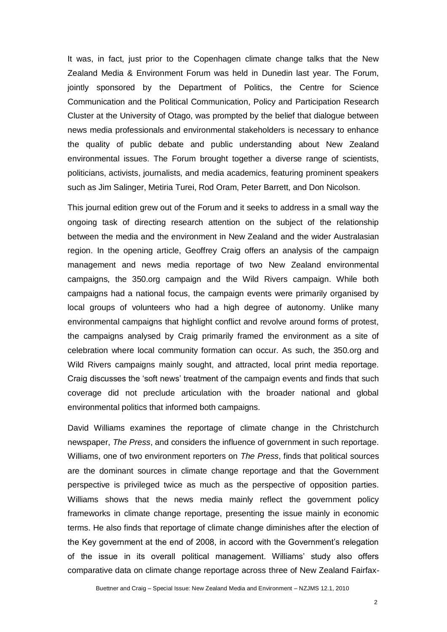It was, in fact, just prior to the Copenhagen climate change talks that the New Zealand Media & Environment Forum was held in Dunedin last year. The Forum, jointly sponsored by the Department of Politics, the Centre for Science Communication and the Political Communication, Policy and Participation Research Cluster at the University of Otago, was prompted by the belief that dialogue between news media professionals and environmental stakeholders is necessary to enhance the quality of public debate and public understanding about New Zealand environmental issues. The Forum brought together a diverse range of scientists, politicians, activists, journalists, and media academics, featuring prominent speakers such as Jim Salinger, Metiria Turei, Rod Oram, Peter Barrett, and Don Nicolson.

This journal edition grew out of the Forum and it seeks to address in a small way the ongoing task of directing research attention on the subject of the relationship between the media and the environment in New Zealand and the wider Australasian region. In the opening article, Geoffrey Craig offers an analysis of the campaign management and news media reportage of two New Zealand environmental campaigns, the 350.org campaign and the Wild Rivers campaign. While both campaigns had a national focus, the campaign events were primarily organised by local groups of volunteers who had a high degree of autonomy. Unlike many environmental campaigns that highlight conflict and revolve around forms of protest, the campaigns analysed by Craig primarily framed the environment as a site of celebration where local community formation can occur. As such, the 350.org and Wild Rivers campaigns mainly sought, and attracted, local print media reportage. Craig discusses the 'soft news' treatment of the campaign events and finds that such coverage did not preclude articulation with the broader national and global environmental politics that informed both campaigns.

David Williams examines the reportage of climate change in the Christchurch newspaper, *The Press*, and considers the influence of government in such reportage. Williams, one of two environment reporters on *The Press*, finds that political sources are the dominant sources in climate change reportage and that the Government perspective is privileged twice as much as the perspective of opposition parties. Williams shows that the news media mainly reflect the government policy frameworks in climate change reportage, presenting the issue mainly in economic terms. He also finds that reportage of climate change diminishes after the election of the Key government at the end of 2008, in accord with the Government's relegation of the issue in its overall political management. Williams' study also offers comparative data on climate change reportage across three of New Zealand Fairfax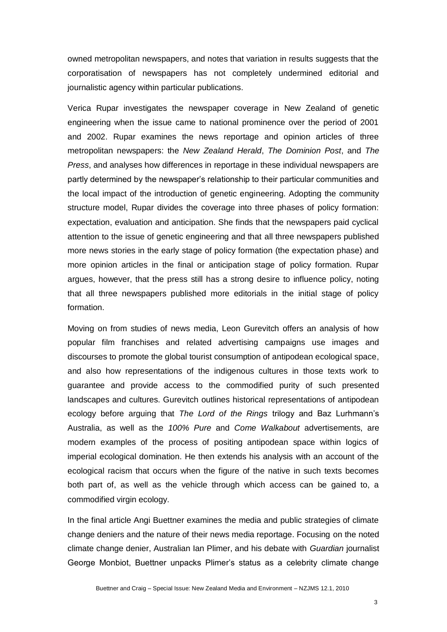owned metropolitan newspapers, and notes that variation in results suggests that the corporatisation of newspapers has not completely undermined editorial and journalistic agency within particular publications.

Verica Rupar investigates the newspaper coverage in New Zealand of genetic engineering when the issue came to national prominence over the period of 2001 and 2002. Rupar examines the news reportage and opinion articles of three metropolitan newspapers: the *New Zealand Herald*, *The Dominion Post*, and *The Press*, and analyses how differences in reportage in these individual newspapers are partly determined by the newspaper's relationship to their particular communities and the local impact of the introduction of genetic engineering. Adopting the community structure model, Rupar divides the coverage into three phases of policy formation: expectation, evaluation and anticipation. She finds that the newspapers paid cyclical attention to the issue of genetic engineering and that all three newspapers published more news stories in the early stage of policy formation (the expectation phase) and more opinion articles in the final or anticipation stage of policy formation. Rupar argues, however, that the press still has a strong desire to influence policy, noting that all three newspapers published more editorials in the initial stage of policy formation.

Moving on from studies of news media, Leon Gurevitch offers an analysis of how popular film franchises and related advertising campaigns use images and discourses to promote the global tourist consumption of antipodean ecological space, and also how representations of the indigenous cultures in those texts work to guarantee and provide access to the commodified purity of such presented landscapes and cultures. Gurevitch outlines historical representations of antipodean ecology before arguing that *The Lord of the Rings* trilogy and Baz Lurhmann's Australia, as well as the *100% Pure* and *Come Walkabout* advertisements, are modern examples of the process of positing antipodean space within logics of imperial ecological domination. He then extends his analysis with an account of the ecological racism that occurs when the figure of the native in such texts becomes both part of, as well as the vehicle through which access can be gained to, a commodified virgin ecology.

In the final article Angi Buettner examines the media and public strategies of climate change deniers and the nature of their news media reportage. Focusing on the noted climate change denier, Australian Ian Plimer, and his debate with *Guardian* journalist George Monbiot, Buettner unpacks Plimer's status as a celebrity climate change

3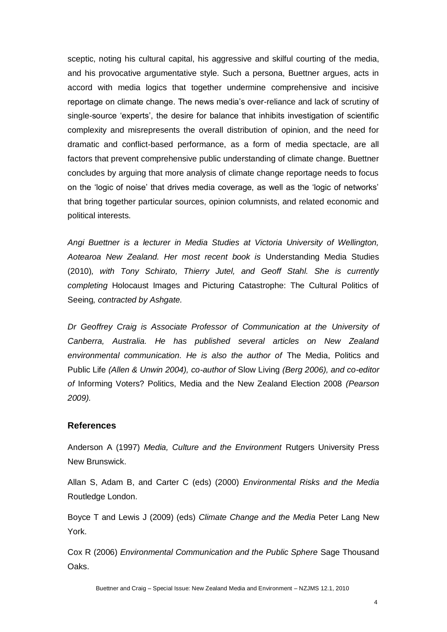sceptic, noting his cultural capital, his aggressive and skilful courting of the media, and his provocative argumentative style. Such a persona, Buettner argues, acts in accord with media logics that together undermine comprehensive and incisive reportage on climate change. The news media's over-reliance and lack of scrutiny of single-source 'experts', the desire for balance that inhibits investigation of scientific complexity and misrepresents the overall distribution of opinion, and the need for dramatic and conflict-based performance, as a form of media spectacle, are all factors that prevent comprehensive public understanding of climate change. Buettner concludes by arguing that more analysis of climate change reportage needs to focus on the 'logic of noise' that drives media coverage, as well as the 'logic of networks' that bring together particular sources, opinion columnists, and related economic and political interests.

*Angi Buettner is a lecturer in Media Studies at Victoria University of Wellington, Aotearoa New Zealand. Her most recent book is* Understanding Media Studies (2010)*, with Tony Schirato, Thierry Jutel, and Geoff Stahl. She is currently completing* Holocaust Images and Picturing Catastrophe: The Cultural Politics of Seeing*, contracted by Ashgate.* 

*Dr Geoffrey Craig is Associate Professor of Communication at the University of Canberra, Australia. He has published several articles on New Zealand environmental communication. He is also the author of* The Media, Politics and Public Life *(Allen & Unwin 2004), co-author of* Slow Living *(Berg 2006), and co-editor of* Informing Voters? Politics, Media and the New Zealand Election 2008 *(Pearson 2009).*

## **References**

Anderson A (1997) *Media, Culture and the Environment* Rutgers University Press New Brunswick.

Allan S, Adam B, and Carter C (eds) (2000) *Environmental Risks and the Media* Routledge London.

Boyce T and Lewis J (2009) (eds) *Climate Change and the Media* Peter Lang New York.

Cox R (2006) *Environmental Communication and the Public Sphere* Sage Thousand Oaks.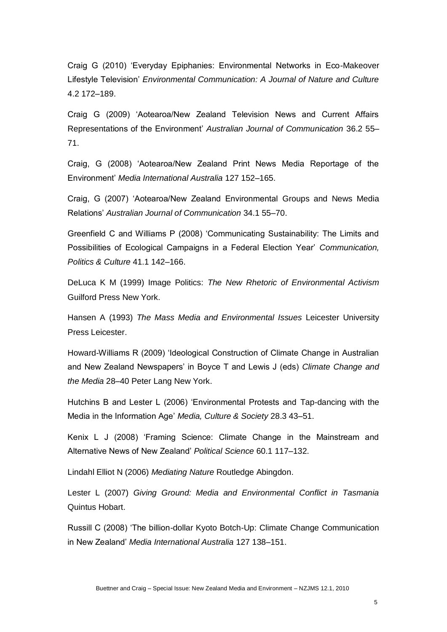Craig G (2010) 'Everyday Epiphanies: Environmental Networks in Eco-Makeover Lifestyle Television' *Environmental Communication: A Journal of Nature and Culture* 4.2 172–189.

Craig G (2009) 'Aotearoa/New Zealand Television News and Current Affairs Representations of the Environment' *Australian Journal of Communication* 36.2 55– 71.

Craig, G (2008) 'Aotearoa/New Zealand Print News Media Reportage of the Environment' *Media International Australia* 127 152–165.

Craig, G (2007) 'Aotearoa/New Zealand Environmental Groups and News Media Relations' *Australian Journal of Communication* 34.1 55–70.

Greenfield C and Williams P (2008) 'Communicating Sustainability: The Limits and Possibilities of Ecological Campaigns in a Federal Election Year' *Communication, Politics & Culture* 41.1 142–166.

DeLuca K M (1999) Image Politics: *The New Rhetoric of Environmental Activism* Guilford Press New York.

Hansen A (1993) *The Mass Media and Environmental Issues* Leicester University Press Leicester.

Howard-Williams R (2009) 'Ideological Construction of Climate Change in Australian and New Zealand Newspapers' in Boyce T and Lewis J (eds) *Climate Change and the Media* 28–40 Peter Lang New York.

Hutchins B and Lester L (2006) 'Environmental Protests and Tap-dancing with the Media in the Information Age' *Media, Culture & Society* 28.3 43–51.

Kenix L J (2008) 'Framing Science: Climate Change in the Mainstream and Alternative News of New Zealand' *Political Science* 60.1 117–132.

Lindahl Elliot N (2006) *Mediating Nature* Routledge Abingdon.

Lester L (2007) *Giving Ground: Media and Environmental Conflict in Tasmania* Quintus Hobart.

Russill C (2008) 'The billion-dollar Kyoto Botch-Up: Climate Change Communication in New Zealand' *Media International Australia* 127 138–151.

5